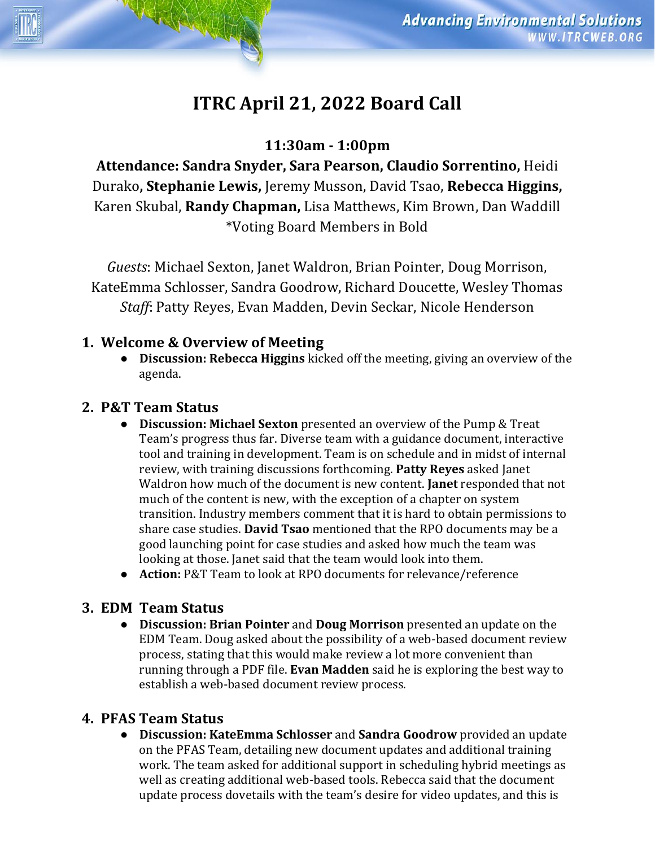# **ITRC April 21, 2022 Board Call**

# **11:30am - 1:00pm**

**Attendance: Sandra Snyder, Sara Pearson, Claudio Sorrentino,** Heidi Durako**, Stephanie Lewis,** Jeremy Musson, David Tsao, **Rebecca Higgins,**  Karen Skubal, **Randy Chapman,** Lisa Matthews, Kim Brown, Dan Waddill \*Voting Board Members in Bold

*Guests*: Michael Sexton, Janet Waldron, Brian Pointer, Doug Morrison, KateEmma Schlosser, Sandra Goodrow, Richard Doucette, Wesley Thomas *Staff*: Patty Reyes, Evan Madden, Devin Seckar, Nicole Henderson

## **1. Welcome & Overview of Meeting**

● **Discussion: Rebecca Higgins** kicked off the meeting, giving an overview of the agenda.

# **2. P&T Team Status**

- **Discussion: Michael Sexton** presented an overview of the Pump & Treat Team's progress thus far. Diverse team with a guidance document, interactive tool and training in development. Team is on schedule and in midst of internal review, with training discussions forthcoming. **Patty Reyes** asked Janet Waldron how much of the document is new content. **Janet** responded that not much of the content is new, with the exception of a chapter on system transition. Industry members comment that it is hard to obtain permissions to share case studies. **David Tsao** mentioned that the RPO documents may be a good launching point for case studies and asked how much the team was looking at those. Janet said that the team would look into them.
- **Action: P&T Team to look at RPO documents for relevance/reference**

## **3. EDM Team Status**

● **Discussion: Brian Pointer** and **Doug Morrison** presented an update on the EDM Team. Doug asked about the possibility of a web-based document review process, stating that this would make review a lot more convenient than running through a PDF file. **Evan Madden** said he is exploring the best way to establish a web-based document review process.

# **4. PFAS Team Status**

● **Discussion: KateEmma Schlosser** and **Sandra Goodrow** provided an update on the PFAS Team, detailing new document updates and additional training work. The team asked for additional support in scheduling hybrid meetings as well as creating additional web-based tools. Rebecca said that the document update process dovetails with the team's desire for video updates, and this is